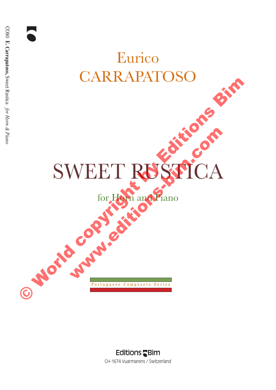# Eurico CARRAPATOSO

# SWEET RUSTICA P or to cool e stre comparadamento CANADATOSO Bim WEET RUSTICA

for Horn and Piano

#### **Editions SBim** CH-1674 Vuarmarens / Switzerland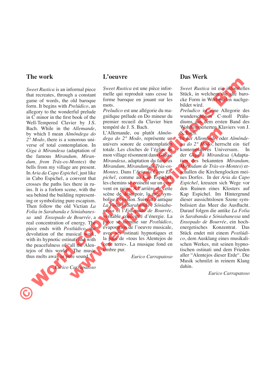#### **The work**

*Sweet Rustica* is an informal piece that recreates, through a constant game of words, the old baroque form. It begins with *Prelúdico*, an allegory to the wonderful prelude in C minor in the first book of the Well-Tempered Clavier by J.S. Bach. While in the *Allemande*, by which I mean *Almôndega do 2° Modo*, there is a sonorous universe of total contemplation. In *Giga à Mirandesa* (adaptation of the famous *Mirandum, Mirandum, from Trás-os-Montes*) the bells from my village are present. In *Aria da Capo Espichel*, just like in Cabo Espichel, a convent that crosses the paths lies there in ruins. It is a forlorn scene, with the sea behind the building representing or symbolizing pure escapism. Then follow the old Victian *La Folia in Sarabanda e Sóniabanessa* and *Ensopado de Bourrée*, a real concentration of energy. The piece ends with *Postlúdico*, the devolution of the musical work, with its hypnotic ostinati and with the peacefulness of "all the Alentejos of this world". The music thus melts away in pure sound. From the three is the control of the control of the control of the control of the matter of the control of the matter of the control of the matter of the control of the control of the control of the control of the control



#### **L'oeuvre**

*Sweet Rustica* est une pièce informelle qui reproduit sans cesse la forme baroque en jouant sur les mots.

*Preludico* est une allégorie du magnifique prélude en Do mineur du premier recueil du Clavier bien tempéré de J. S. Bach.

L'Allemande, ou plutôt *Almôndega do 2° Modo*, représente un univers sonore de contemplation totale. Les cloches de l'église de mon village résonnent dans *Giga à Mirandesa*, adaptation du fameux *Mirandum, Mirandum de Tràs-os-Montes*. Dans l'*Aria da Capo Espichel*, comme au Cap Espichel, les chemins se croisent sur un couvent en ruine. A l'arrière de cette scène de désespoir, la mer symbolise l'évasion. Suivent l'antique *La Folia in Sarabanda e Sóniabanessa* et l'*Ensopado de Bourrée*, véritable concentré d'énergie. La pièce se termine sur *Postlúdico*, évaporation de l'oeuvre musicale, avec ses ostinati hypnotiques et la paix de «tous les Alentejos de cette terre». La musique fond en timbre pur. Allemande, universe use J. S. Bach, S. Bach, S. Bach, S. Bach, S. Bach, S. Bach, S. Bach, Concrete Controllation of totale. Les cloches de l'église de Xonteneplatives University and the state of the controllation of total

*Eurico Carrapatoso*

#### **Das Werk**

*Sweet Rustica* ist ein informelles Stück, in welchem die alte barocke Form in Wortspielen nachgebildet wird.

*Preludico* ist eine Allegorie des wunderschönen C-moll Präludiums aus dem ersten Band des Wohltemperierten Klaviers von J. S. Bach.

In der *Allemande*, oder *Almôndega do 2° Modo*, herrscht ein tief kontemplatives Universum. In der *Giga à Mirandesa* (Adaptation des bekannten *Mirandum, Mirandum de Tràs-os-Montes*) erschallen die Kirchenglocken meines Dorfes. In der *Aria da Capo Espichel*, kreuzen sich Wege vor den Ruinen eines Klosters auf Kap Espichel. Im Hintergrund dieser aussichtslosen Szene symbolisiert das Meer die Ausflucht. Darauf folgen die antike *La Folia in Sarabanda e Sóniabanessa* und *Ensopado de Bourrée*, ein hochenergetisches Konzentrat. Das Stück endet mit einem *Postlúdico*, dem Ausklang eines musikalischen Werkes, mit seinen hypnotischen ostinati und dem Frieden aller "Alentejos dieser Erde". Die Musik schmilzt in reinem Klang dahin.

*Eurico Carrapatoso*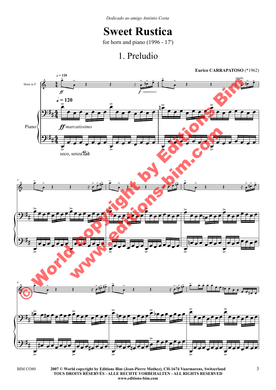*Dedicado ao amigo António Costa*

## **Sweet Rustica**

for horn and piano (1996 - 17')

## 1. Preludio



**<sup>2007 ©</sup> World copyright by Editions Bim (Jean-Pierre Mathez), CH-1674 Vuarmarens, Switzerland** BIM CO80 3 **TOUS DROITS RÉSERVÉS - ALLE RECHTE VORBEHALTEN - ALL RIGHTS RESERVED www.editions-bim.com**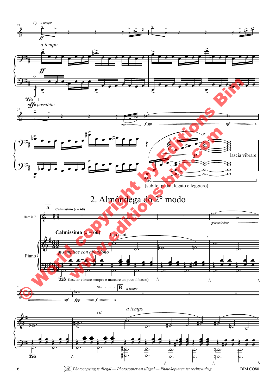

6 **8 |** *Photocopying is illegal — Photocopier est illégal — Photokopieren ist rechtswidrig* BIM COS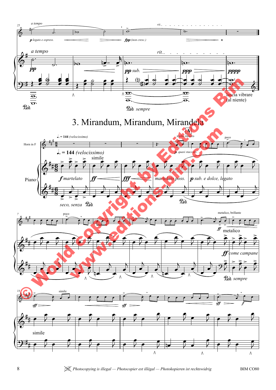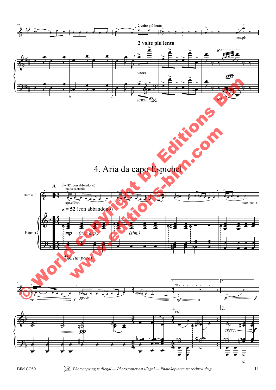

BIM CO80 *A Photocopying is illegal — Photocopier est illégal — Photokopieren ist rechtswidrig* 11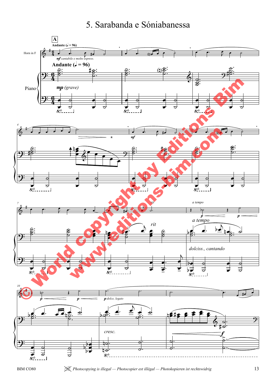## 5. Sarabanda e Sóniabanessa



BIM CO80 *We Photocopying is illegal — Photocopier est illégal — Photokopieren ist rechtswidrig* **13**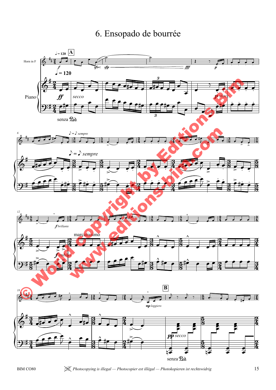## 6. Ensopado de bourrée



BIM CO80 *A Photocopying is illegal — Photocopier est illégal — Photokopieren ist rechtswidrig* 15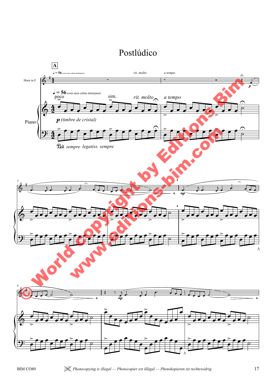## Postlúdico